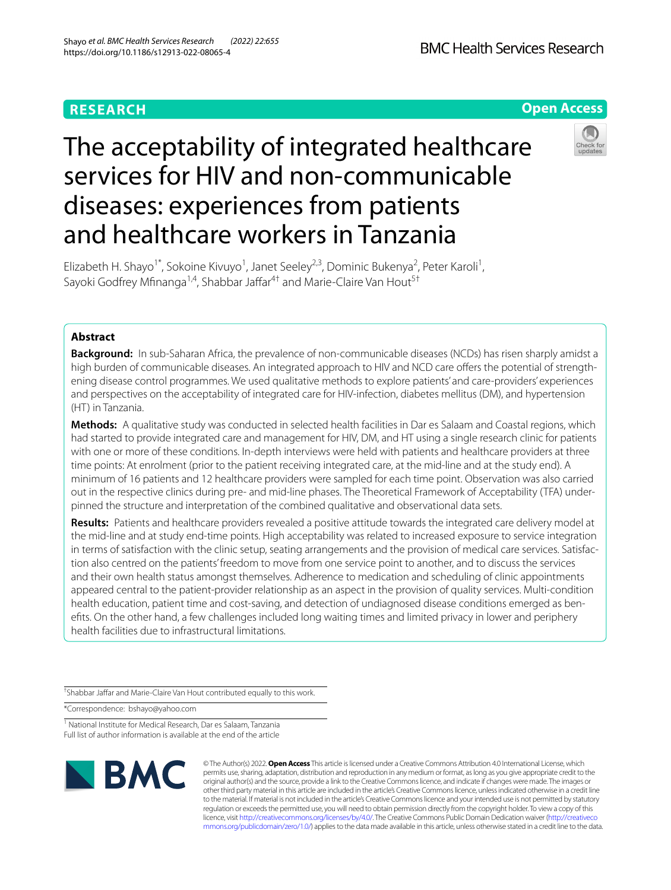# **RESEARCH**

**Open Access**

# The acceptability of integrated healthcare services for HIV and non-communicable diseases: experiences from patients and healthcare workers in Tanzania



Elizabeth H. Shayo<sup>1\*</sup>, Sokoine Kivuyo<sup>1</sup>, Janet Seeley<sup>2,3</sup>, Dominic Bukenya<sup>2</sup>, Peter Karoli<sup>1</sup>, Sayoki Godfrey Mfinanga<sup>1,4</sup>, Shabbar Jaffar<sup>4†</sup> and Marie-Claire Van Hout<sup>5†</sup>

# **Abstract**

**Background:** In sub-Saharan Africa, the prevalence of non-communicable diseases (NCDs) has risen sharply amidst a high burden of communicable diseases. An integrated approach to HIV and NCD care offers the potential of strengthening disease control programmes. We used qualitative methods to explore patients' and care-providers' experiences and perspectives on the acceptability of integrated care for HIV-infection, diabetes mellitus (DM), and hypertension (HT) in Tanzania.

**Methods:** A qualitative study was conducted in selected health facilities in Dar es Salaam and Coastal regions, which had started to provide integrated care and management for HIV, DM, and HT using a single research clinic for patients with one or more of these conditions. In-depth interviews were held with patients and healthcare providers at three time points: At enrolment (prior to the patient receiving integrated care, at the mid-line and at the study end). A minimum of 16 patients and 12 healthcare providers were sampled for each time point. Observation was also carried out in the respective clinics during pre- and mid-line phases. The Theoretical Framework of Acceptability (TFA) under‑ pinned the structure and interpretation of the combined qualitative and observational data sets.

**Results:** Patients and healthcare providers revealed a positive attitude towards the integrated care delivery model at the mid-line and at study end-time points. High acceptability was related to increased exposure to service integration in terms of satisfaction with the clinic setup, seating arrangements and the provision of medical care services. Satisfaction also centred on the patients' freedom to move from one service point to another, and to discuss the services and their own health status amongst themselves. Adherence to medication and scheduling of clinic appointments appeared central to the patient-provider relationship as an aspect in the provision of quality services. Multi-condition health education, patient time and cost-saving, and detection of undiagnosed disease conditions emerged as benefts. On the other hand, a few challenges included long waiting times and limited privacy in lower and periphery health facilities due to infrastructural limitations.

<sup>†</sup>Shabbar Jaffar and Marie-Claire Van Hout contributed equally to this work.

\*Correspondence: bshayo@yahoo.com

<sup>1</sup> National Institute for Medical Research, Dar es Salaam, Tanzania Full list of author information is available at the end of the article



© The Author(s) 2022. **Open Access** This article is licensed under a Creative Commons Attribution 4.0 International License, which permits use, sharing, adaptation, distribution and reproduction in any medium or format, as long as you give appropriate credit to the original author(s) and the source, provide a link to the Creative Commons licence, and indicate if changes were made. The images or other third party material in this article are included in the article's Creative Commons licence, unless indicated otherwise in a credit line to the material. If material is not included in the article's Creative Commons licence and your intended use is not permitted by statutory regulation or exceeds the permitted use, you will need to obtain permission directly from the copyright holder. To view a copy of this licence, visit [http://creativecommons.org/licenses/by/4.0/.](http://creativecommons.org/licenses/by/4.0/) The Creative Commons Public Domain Dedication waiver ([http://creativeco](http://creativecommons.org/publicdomain/zero/1.0/) [mmons.org/publicdomain/zero/1.0/](http://creativecommons.org/publicdomain/zero/1.0/)) applies to the data made available in this article, unless otherwise stated in a credit line to the data.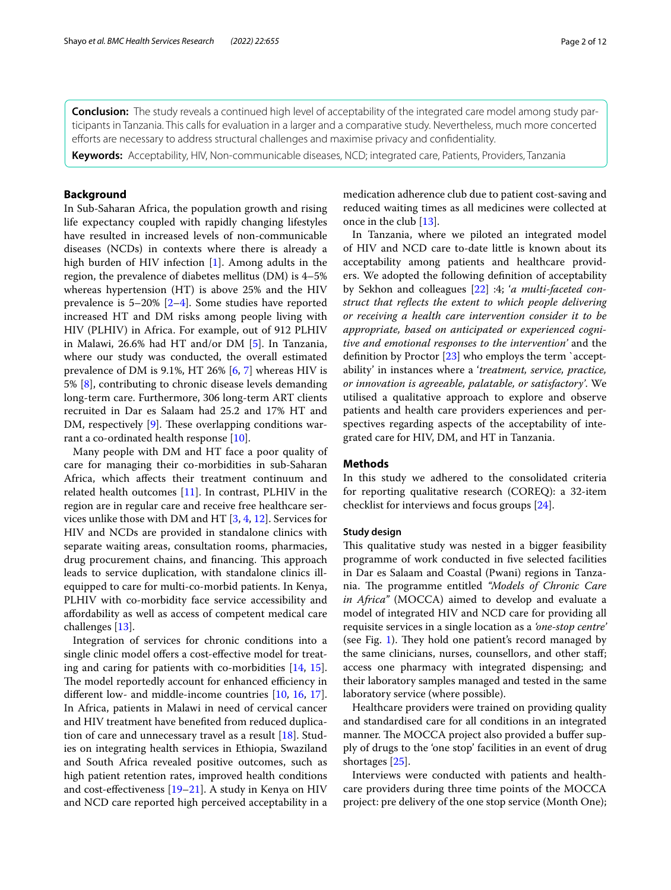**Conclusion:** The study reveals a continued high level of acceptability of the integrated care model among study participants in Tanzania. This calls for evaluation in a larger and a comparative study. Nevertheless, much more concerted efforts are necessary to address structural challenges and maximise privacy and confidentiality.

**Keywords:** Acceptability, HIV, Non-communicable diseases, NCD; integrated care, Patients, Providers, Tanzania

# **Background**

In Sub-Saharan Africa, the population growth and rising life expectancy coupled with rapidly changing lifestyles have resulted in increased levels of non-communicable diseases (NCDs) in contexts where there is already a high burden of HIV infection [[1\]](#page-10-0). Among adults in the region, the prevalence of diabetes mellitus (DM) is 4–5% whereas hypertension (HT) is above 25% and the HIV prevalence is 5–20% [[2–](#page-10-1)[4\]](#page-10-2). Some studies have reported increased HT and DM risks among people living with HIV (PLHIV) in Africa. For example, out of 912 PLHIV in Malawi, 26.6% had HT and/or DM [\[5](#page-10-3)]. In Tanzania, where our study was conducted, the overall estimated prevalence of DM is 9.1%, HT 26% [\[6](#page-10-4), [7](#page-10-5)] whereas HIV is 5% [[8](#page-10-6)], contributing to chronic disease levels demanding long-term care. Furthermore, 306 long-term ART clients recruited in Dar es Salaam had 25.2 and 17% HT and DM, respectively  $[9]$  $[9]$ . These overlapping conditions warrant a co-ordinated health response [\[10](#page-10-8)].

Many people with DM and HT face a poor quality of care for managing their co-morbidities in sub-Saharan Africa, which afects their treatment continuum and related health outcomes  $[11]$  $[11]$ . In contrast, PLHIV in the region are in regular care and receive free healthcare services unlike those with DM and HT [[3,](#page-10-10) [4,](#page-10-2) [12](#page-10-11)]. Services for HIV and NCDs are provided in standalone clinics with separate waiting areas, consultation rooms, pharmacies, drug procurement chains, and financing. This approach leads to service duplication, with standalone clinics illequipped to care for multi-co-morbid patients. In Kenya, PLHIV with co-morbidity face service accessibility and afordability as well as access of competent medical care challenges [\[13](#page-10-12)].

Integration of services for chronic conditions into a single clinic model offers a cost-effective model for treating and caring for patients with co-morbidities [[14,](#page-10-13) [15](#page-10-14)]. The model reportedly account for enhanced efficiency in diferent low- and middle-income countries [[10,](#page-10-8) [16,](#page-10-15) [17](#page-10-16)]. In Africa, patients in Malawi in need of cervical cancer and HIV treatment have benefted from reduced duplication of care and unnecessary travel as a result [\[18](#page-10-17)]. Studies on integrating health services in Ethiopia, Swaziland and South Africa revealed positive outcomes, such as high patient retention rates, improved health conditions and cost-efectiveness [\[19–](#page-10-18)[21\]](#page-10-19). A study in Kenya on HIV and NCD care reported high perceived acceptability in a medication adherence club due to patient cost-saving and reduced waiting times as all medicines were collected at once in the club [\[13\]](#page-10-12).

In Tanzania, where we piloted an integrated model of HIV and NCD care to-date little is known about its acceptability among patients and healthcare providers. We adopted the following defnition of acceptability by Sekhon and colleagues [\[22](#page-10-20)] :4; '*a multi-faceted construct that refects the extent to which people delivering or receiving a health care intervention consider it to be appropriate, based on anticipated or experienced cognitive and emotional responses to the intervention'* and the defnition by Proctor [[23\]](#page-10-21) who employs the term `acceptability' in instances where a '*treatment, service, practice, or innovation is agreeable, palatable, or satisfactory'*. We utilised a qualitative approach to explore and observe patients and health care providers experiences and perspectives regarding aspects of the acceptability of integrated care for HIV, DM, and HT in Tanzania.

# **Methods**

In this study we adhered to the consolidated criteria for reporting qualitative research (COREQ): a 32-item checklist for interviews and focus groups [\[24\]](#page-10-22).

# **Study design**

This qualitative study was nested in a bigger feasibility programme of work conducted in fve selected facilities in Dar es Salaam and Coastal (Pwani) regions in Tanzania. The programme entitled *"Models of Chronic Care in Africa"* (MOCCA) aimed to develop and evaluate a model of integrated HIV and NCD care for providing all requisite services in a single location as a *'one-stop centre'* (see Fig. [1\)](#page-2-0). They hold one patient's record managed by the same clinicians, nurses, counsellors, and other staf; access one pharmacy with integrated dispensing; and their laboratory samples managed and tested in the same laboratory service (where possible).

Healthcare providers were trained on providing quality and standardised care for all conditions in an integrated manner. The MOCCA project also provided a buffer supply of drugs to the 'one stop' facilities in an event of drug shortages [\[25](#page-10-23)].

Interviews were conducted with patients and healthcare providers during three time points of the MOCCA project: pre delivery of the one stop service (Month One);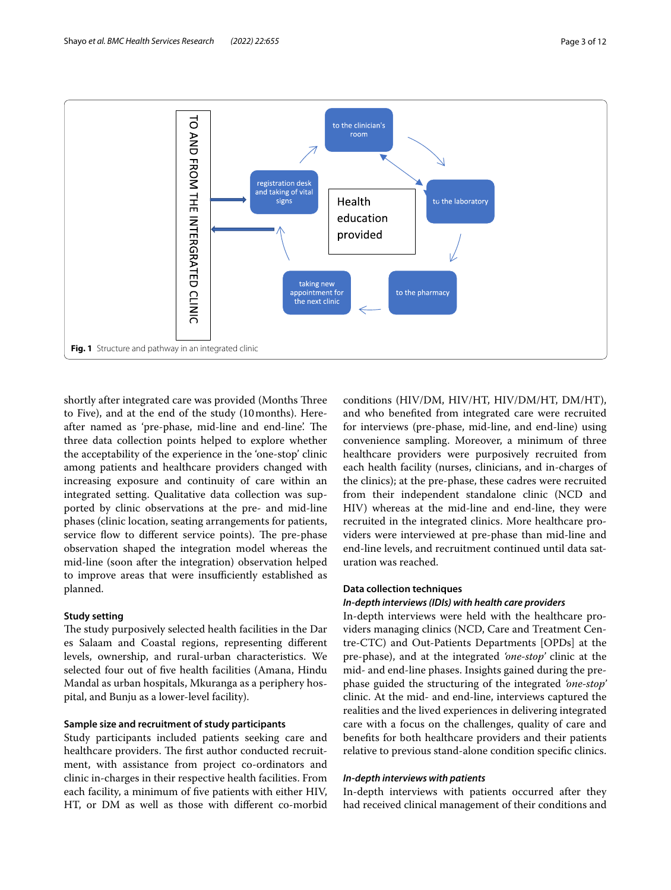

<span id="page-2-0"></span>shortly after integrated care was provided (Months Three to Five), and at the end of the study (10months). Hereafter named as 'pre-phase, mid-line and end-line'. The three data collection points helped to explore whether the acceptability of the experience in the 'one-stop' clinic among patients and healthcare providers changed with increasing exposure and continuity of care within an integrated setting. Qualitative data collection was supported by clinic observations at the pre- and mid-line phases (clinic location, seating arrangements for patients, service flow to different service points). The pre-phase observation shaped the integration model whereas the mid-line (soon after the integration) observation helped to improve areas that were insufficiently established as planned.

# **Study setting**

The study purposively selected health facilities in the Dar es Salaam and Coastal regions, representing diferent levels, ownership, and rural-urban characteristics. We selected four out of fve health facilities (Amana, Hindu Mandal as urban hospitals, Mkuranga as a periphery hospital, and Bunju as a lower-level facility).

# **Sample size and recruitment of study participants**

Study participants included patients seeking care and healthcare providers. The first author conducted recruitment, with assistance from project co-ordinators and clinic in-charges in their respective health facilities. From each facility, a minimum of fve patients with either HIV, HT, or DM as well as those with diferent co-morbid

conditions (HIV/DM, HIV/HT, HIV/DM/HT, DM/HT), and who benefted from integrated care were recruited for interviews (pre-phase, mid-line, and end-line) using convenience sampling. Moreover, a minimum of three healthcare providers were purposively recruited from each health facility (nurses, clinicians, and in-charges of the clinics); at the pre-phase, these cadres were recruited from their independent standalone clinic (NCD and HIV) whereas at the mid-line and end-line, they were recruited in the integrated clinics. More healthcare providers were interviewed at pre-phase than mid-line and end-line levels, and recruitment continued until data saturation was reached.

# **Data collection techniques**

#### *In‑depth interviews (IDIs) with health care providers*

In-depth interviews were held with the healthcare providers managing clinics (NCD, Care and Treatment Centre-CTC) and Out-Patients Departments [OPDs] at the pre-phase), and at the integrated *'one-stop'* clinic at the mid- and end-line phases. Insights gained during the prephase guided the structuring of the integrated *'one-stop'* clinic. At the mid- and end-line, interviews captured the realities and the lived experiences in delivering integrated care with a focus on the challenges, quality of care and benefts for both healthcare providers and their patients relative to previous stand-alone condition specifc clinics.

# *In‑depth interviews with patients*

In-depth interviews with patients occurred after they had received clinical management of their conditions and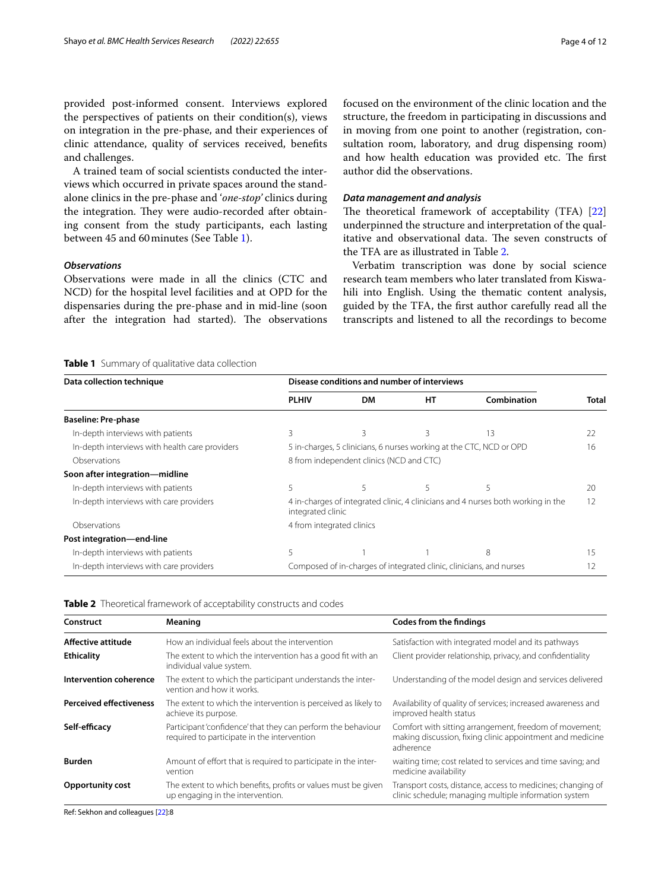provided post-informed consent. Interviews explored the perspectives of patients on their condition(s), views on integration in the pre-phase, and their experiences of clinic attendance, quality of services received, benefts and challenges.

A trained team of social scientists conducted the interviews which occurred in private spaces around the standalone clinics in the pre-phase and '*one-stop'* clinics during the integration. They were audio-recorded after obtaining consent from the study participants, each lasting between 45 and 60minutes (See Table [1\)](#page-3-0).

# *Observations*

Observations were made in all the clinics (CTC and NCD) for the hospital level facilities and at OPD for the dispensaries during the pre-phase and in mid-line (soon after the integration had started). The observations focused on the environment of the clinic location and the structure, the freedom in participating in discussions and in moving from one point to another (registration, consultation room, laboratory, and drug dispensing room) and how health education was provided etc. The first author did the observations.

#### *Data management and analysis*

The theoretical framework of acceptability (TFA)  $[22]$  $[22]$  $[22]$ underpinned the structure and interpretation of the qualitative and observational data. The seven constructs of the TFA are as illustrated in Table [2.](#page-3-1)

Verbatim transcription was done by social science research team members who later translated from Kiswahili into English. Using the thematic content analysis, guided by the TFA, the frst author carefully read all the transcripts and listened to all the recordings to become

#### <span id="page-3-0"></span>**Table 1** Summary of qualitative data collection

| Data collection technique                      | Disease conditions and number of interviews                                                           |           |    |             |       |
|------------------------------------------------|-------------------------------------------------------------------------------------------------------|-----------|----|-------------|-------|
|                                                | <b>PLHIV</b>                                                                                          | <b>DM</b> | HT | Combination | Total |
| <b>Baseline: Pre-phase</b>                     |                                                                                                       |           |    |             |       |
| In-depth interviews with patients              | 3                                                                                                     | 3         | ζ  | 13          | 22    |
| In-depth interviews with health care providers | 5 in-charges, 5 clinicians, 6 nurses working at the CTC, NCD or OPD<br>16                             |           |    |             |       |
| Observations                                   | 8 from independent clinics (NCD and CTC)                                                              |           |    |             |       |
| Soon after integration—midline                 |                                                                                                       |           |    |             |       |
| In-depth interviews with patients              |                                                                                                       | 5         |    | 5           | 20    |
| In-depth interviews with care providers        | 4 in-charges of integrated clinic, 4 clinicians and 4 nurses both working in the<br>integrated clinic |           |    |             | 12    |
| Observations                                   | 4 from integrated clinics                                                                             |           |    |             |       |
| Post integration-end-line                      |                                                                                                       |           |    |             |       |
| In-depth interviews with patients              |                                                                                                       |           |    | 8           | 15    |
| In-depth interviews with care providers        | Composed of in-charges of integrated clinic, clinicians, and nurses<br>12                             |           |    |             |       |

<span id="page-3-1"></span>

| Construct                      | Meaning                                                                                                     | <b>Codes from the findings</b>                                                                                                   |  |  |
|--------------------------------|-------------------------------------------------------------------------------------------------------------|----------------------------------------------------------------------------------------------------------------------------------|--|--|
| Affective attitude             | How an individual feels about the intervention                                                              | Satisfaction with integrated model and its pathways                                                                              |  |  |
| <b>Ethicality</b>              | The extent to which the intervention has a good fit with an<br>individual value system.                     | Client provider relationship, privacy, and confidentiality                                                                       |  |  |
| Intervention coherence         | The extent to which the participant understands the inter-<br>vention and how it works.                     | Understanding of the model design and services delivered                                                                         |  |  |
| <b>Perceived effectiveness</b> | The extent to which the intervention is perceived as likely to<br>achieve its purpose.                      | Availability of quality of services; increased awareness and<br>improved health status                                           |  |  |
| Self-efficacy                  | Participant 'confidence' that they can perform the behaviour<br>required to participate in the intervention | Comfort with sitting arrangement, freedom of movement;<br>making discussion, fixing clinic appointment and medicine<br>adherence |  |  |
| <b>Burden</b>                  | Amount of effort that is required to participate in the inter-<br>vention                                   | waiting time; cost related to services and time saving; and<br>medicine availability                                             |  |  |
| <b>Opportunity cost</b>        | The extent to which benefits, profits or values must be given<br>up engaging in the intervention.           | Transport costs, distance, access to medicines; changing of<br>clinic schedule; managing multiple information system             |  |  |

Ref: Sekhon and colleagues [\[22](#page-10-20)]:8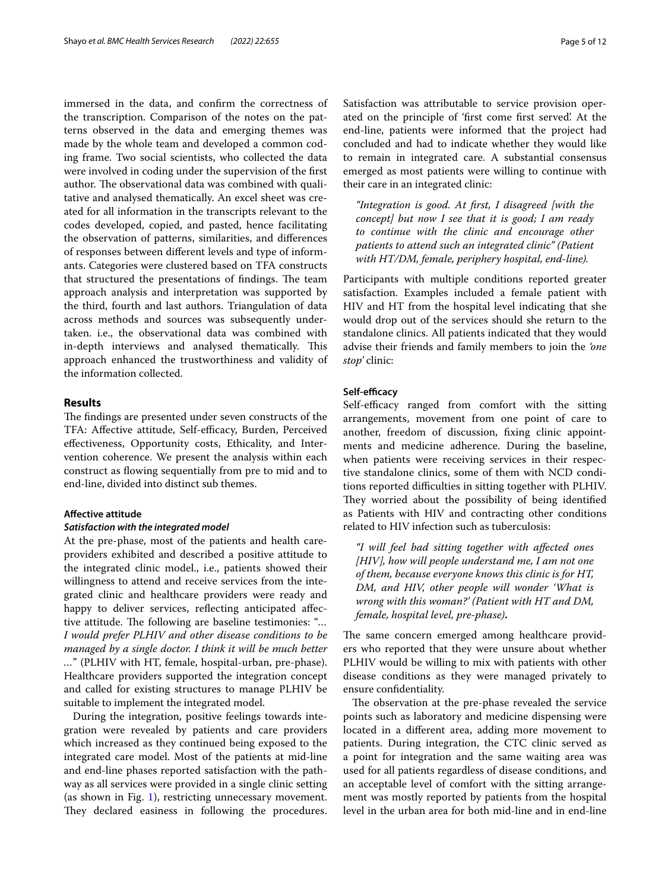immersed in the data, and confrm the correctness of the transcription. Comparison of the notes on the patterns observed in the data and emerging themes was made by the whole team and developed a common coding frame. Two social scientists, who collected the data were involved in coding under the supervision of the frst author. The observational data was combined with qualitative and analysed thematically. An excel sheet was created for all information in the transcripts relevant to the codes developed, copied, and pasted, hence facilitating the observation of patterns, similarities, and diferences of responses between diferent levels and type of informants. Categories were clustered based on TFA constructs that structured the presentations of findings. The team approach analysis and interpretation was supported by the third, fourth and last authors. Triangulation of data across methods and sources was subsequently undertaken. i.e., the observational data was combined with in-depth interviews and analysed thematically. This approach enhanced the trustworthiness and validity of the information collected.

# **Results**

The findings are presented under seven constructs of the TFA: Affective attitude, Self-efficacy, Burden, Perceived efectiveness, Opportunity costs, Ethicality, and Intervention coherence. We present the analysis within each construct as fowing sequentially from pre to mid and to end-line, divided into distinct sub themes.

# **Afective attitude**

#### *Satisfaction with the integrated model*

At the pre-phase, most of the patients and health careproviders exhibited and described a positive attitude to the integrated clinic model., i.e., patients showed their willingness to attend and receive services from the integrated clinic and healthcare providers were ready and happy to deliver services, reflecting anticipated affective attitude. The following are baseline testimonies: "... *I would prefer PLHIV and other disease conditions to be managed by a single doctor. I think it will be much better …*" (PLHIV with HT, female, hospital-urban, pre-phase). Healthcare providers supported the integration concept and called for existing structures to manage PLHIV be suitable to implement the integrated model.

During the integration, positive feelings towards integration were revealed by patients and care providers which increased as they continued being exposed to the integrated care model. Most of the patients at mid-line and end-line phases reported satisfaction with the pathway as all services were provided in a single clinic setting (as shown in Fig. [1](#page-2-0)), restricting unnecessary movement. They declared easiness in following the procedures. Satisfaction was attributable to service provision operated on the principle of 'frst come frst served'. At the end-line, patients were informed that the project had concluded and had to indicate whether they would like to remain in integrated care. A substantial consensus emerged as most patients were willing to continue with their care in an integrated clinic:

*"Integration is good. At frst, I disagreed [with the concept] but now I see that it is good; I am ready to continue with the clinic and encourage other patients to attend such an integrated clinic" (Patient with HT/DM, female, periphery hospital, end-line).*

Participants with multiple conditions reported greater satisfaction. Examples included a female patient with HIV and HT from the hospital level indicating that she would drop out of the services should she return to the standalone clinics. All patients indicated that they would advise their friends and family members to join the *'one stop'* clinic:

# Self-efficacy

Self-efficacy ranged from comfort with the sitting arrangements, movement from one point of care to another, freedom of discussion, fxing clinic appointments and medicine adherence. During the baseline, when patients were receiving services in their respective standalone clinics, some of them with NCD conditions reported difficulties in sitting together with PLHIV. They worried about the possibility of being identified as Patients with HIV and contracting other conditions related to HIV infection such as tuberculosis:

*"I will feel bad sitting together with afected ones [HIV], how will people understand me, I am not one of them, because everyone knows this clinic is for HT, DM, and HIV, other people will wonder 'What is wrong with this woman?' (Patient with HT and DM, female, hospital level, pre-phase)***.**

The same concern emerged among healthcare providers who reported that they were unsure about whether PLHIV would be willing to mix with patients with other disease conditions as they were managed privately to ensure confdentiality.

The observation at the pre-phase revealed the service points such as laboratory and medicine dispensing were located in a diferent area, adding more movement to patients. During integration, the CTC clinic served as a point for integration and the same waiting area was used for all patients regardless of disease conditions, and an acceptable level of comfort with the sitting arrangement was mostly reported by patients from the hospital level in the urban area for both mid-line and in end-line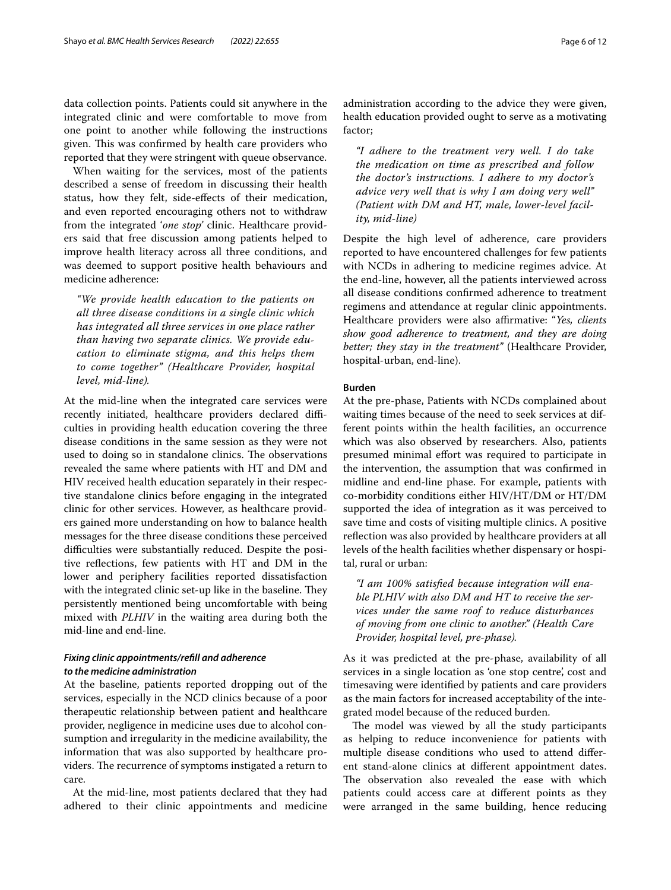data collection points. Patients could sit anywhere in the integrated clinic and were comfortable to move from one point to another while following the instructions given. This was confirmed by health care providers who reported that they were stringent with queue observance.

When waiting for the services, most of the patients described a sense of freedom in discussing their health status, how they felt, side-efects of their medication, and even reported encouraging others not to withdraw from the integrated '*one stop'* clinic. Healthcare providers said that free discussion among patients helped to improve health literacy across all three conditions, and was deemed to support positive health behaviours and medicine adherence:

*"We provide health education to the patients on all three disease conditions in a single clinic which has integrated all three services in one place rather than having two separate clinics. We provide education to eliminate stigma, and this helps them to come together" (Healthcare Provider, hospital level, mid-line).*

At the mid-line when the integrated care services were recently initiated, healthcare providers declared difficulties in providing health education covering the three disease conditions in the same session as they were not used to doing so in standalone clinics. The observations revealed the same where patients with HT and DM and HIV received health education separately in their respective standalone clinics before engaging in the integrated clinic for other services. However, as healthcare providers gained more understanding on how to balance health messages for the three disease conditions these perceived difficulties were substantially reduced. Despite the positive refections, few patients with HT and DM in the lower and periphery facilities reported dissatisfaction with the integrated clinic set-up like in the baseline. They persistently mentioned being uncomfortable with being mixed with *PLHIV* in the waiting area during both the mid-line and end-line.

# *Fixing clinic appointments/refll and adherence to the medicine administration*

At the baseline, patients reported dropping out of the services, especially in the NCD clinics because of a poor therapeutic relationship between patient and healthcare provider, negligence in medicine uses due to alcohol consumption and irregularity in the medicine availability, the information that was also supported by healthcare providers. The recurrence of symptoms instigated a return to care.

At the mid-line, most patients declared that they had adhered to their clinic appointments and medicine administration according to the advice they were given, health education provided ought to serve as a motivating factor;

*"I adhere to the treatment very well. I do take the medication on time as prescribed and follow the doctor's instructions. I adhere to my doctor's advice very well that is why I am doing very well" (Patient with DM and HT, male, lower-level facility, mid-line)*

Despite the high level of adherence, care providers reported to have encountered challenges for few patients with NCDs in adhering to medicine regimes advice. At the end-line, however, all the patients interviewed across all disease conditions confrmed adherence to treatment regimens and attendance at regular clinic appointments. Healthcare providers were also afrmative: "*Yes, clients show good adherence to treatment, and they are doing better; they stay in the treatment"* (Healthcare Provider, hospital-urban, end-line).

# **Burden**

At the pre-phase, Patients with NCDs complained about waiting times because of the need to seek services at different points within the health facilities, an occurrence which was also observed by researchers. Also, patients presumed minimal effort was required to participate in the intervention, the assumption that was confrmed in midline and end-line phase. For example, patients with co-morbidity conditions either HIV/HT/DM or HT/DM supported the idea of integration as it was perceived to save time and costs of visiting multiple clinics. A positive refection was also provided by healthcare providers at all levels of the health facilities whether dispensary or hospital, rural or urban:

*"I am 100% satisfed because integration will enable PLHIV with also DM and HT to receive the services under the same roof to reduce disturbances of moving from one clinic to another." (Health Care Provider, hospital level, pre-phase).*

As it was predicted at the pre-phase, availability of all services in a single location as 'one stop centre', cost and timesaving were identifed by patients and care providers as the main factors for increased acceptability of the integrated model because of the reduced burden.

The model was viewed by all the study participants as helping to reduce inconvenience for patients with multiple disease conditions who used to attend diferent stand-alone clinics at diferent appointment dates. The observation also revealed the ease with which patients could access care at diferent points as they were arranged in the same building, hence reducing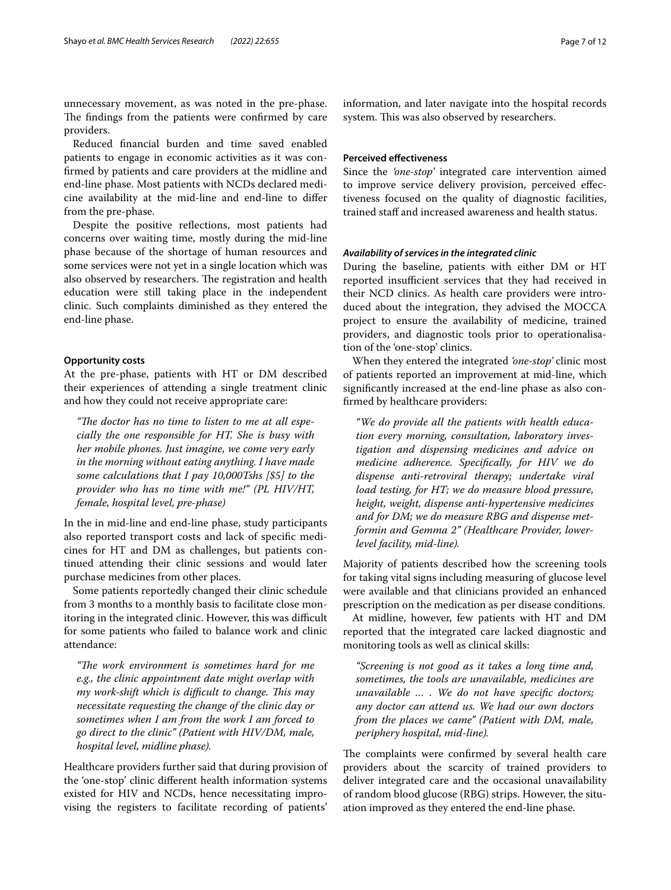unnecessary movement, as was noted in the pre-phase. The findings from the patients were confirmed by care providers.

Reduced fnancial burden and time saved enabled patients to engage in economic activities as it was confrmed by patients and care providers at the midline and end-line phase. Most patients with NCDs declared medicine availability at the mid-line and end-line to difer from the pre-phase.

Despite the positive refections, most patients had concerns over waiting time, mostly during the mid-line phase because of the shortage of human resources and some services were not yet in a single location which was also observed by researchers. The registration and health education were still taking place in the independent clinic. Such complaints diminished as they entered the end-line phase.

# **Opportunity costs**

At the pre-phase, patients with HT or DM described their experiences of attending a single treatment clinic and how they could not receive appropriate care:

"The doctor has no time to listen to me at all espe*cially the one responsible for HT. She is busy with her mobile phones. Just imagine, we come very early in the morning without eating anything. I have made some calculations that I pay 10,000Tshs [\$5] to the provider who has no time with me!" (PL HIV/HT, female, hospital level, pre-phase)*

In the in mid-line and end-line phase, study participants also reported transport costs and lack of specifc medicines for HT and DM as challenges, but patients continued attending their clinic sessions and would later purchase medicines from other places.

Some patients reportedly changed their clinic schedule from 3 months to a monthly basis to facilitate close monitoring in the integrated clinic. However, this was difficult for some patients who failed to balance work and clinic attendance:

*"Te work environment is sometimes hard for me e.g., the clinic appointment date might overlap with my work-shift which is difcult to change. Tis may necessitate requesting the change of the clinic day or sometimes when I am from the work I am forced to go direct to the clinic" (Patient with HIV/DM, male, hospital level, midline phase).*

Healthcare providers further said that during provision of the 'one-stop' clinic diferent health information systems existed for HIV and NCDs, hence necessitating improvising the registers to facilitate recording of patients'

information, and later navigate into the hospital records system. This was also observed by researchers.

# **Perceived efectiveness**

Since the *'one-stop'* integrated care intervention aimed to improve service delivery provision, perceived efectiveness focused on the quality of diagnostic facilities, trained staff and increased awareness and health status.

#### *Availability of services in the integrated clinic*

During the baseline, patients with either DM or HT reported insufficient services that they had received in their NCD clinics. As health care providers were introduced about the integration, they advised the MOCCA project to ensure the availability of medicine, trained providers, and diagnostic tools prior to operationalisation of the 'one-stop' clinics.

When they entered the integrated *'one-stop'* clinic most of patients reported an improvement at mid-line, which signifcantly increased at the end-line phase as also confrmed by healthcare providers:

*"We do provide all the patients with health education every morning, consultation, laboratory investigation and dispensing medicines and advice on medicine adherence. Specifcally, for HIV we do dispense anti-retroviral therapy; undertake viral load testing, for HT; we do measure blood pressure, height, weight, dispense anti-hypertensive medicines and for DM; we do measure RBG and dispense metformin and Gemma 2" (Healthcare Provider, lowerlevel facility, mid-line).*

Majority of patients described how the screening tools for taking vital signs including measuring of glucose level were available and that clinicians provided an enhanced prescription on the medication as per disease conditions.

At midline, however, few patients with HT and DM reported that the integrated care lacked diagnostic and monitoring tools as well as clinical skills:

*"Screening is not good as it takes a long time and, sometimes, the tools are unavailable, medicines are unavailable … . We do not have specifc doctors; any doctor can attend us. We had our own doctors from the places we came" (Patient with DM, male, periphery hospital, mid-line).*

The complaints were confirmed by several health care providers about the scarcity of trained providers to deliver integrated care and the occasional unavailability of random blood glucose (RBG) strips. However, the situation improved as they entered the end-line phase.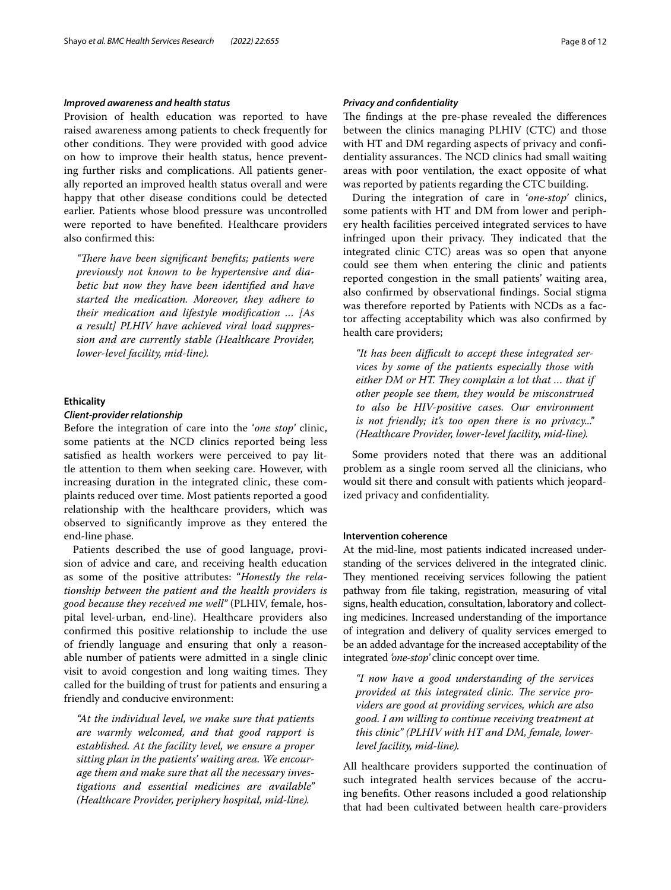# *Improved awareness and health status*

Provision of health education was reported to have raised awareness among patients to check frequently for other conditions. They were provided with good advice on how to improve their health status, hence preventing further risks and complications. All patients generally reported an improved health status overall and were happy that other disease conditions could be detected earlier. Patients whose blood pressure was uncontrolled were reported to have benefted. Healthcare providers also confrmed this:

"There have been significant benefits; patients were *previously not known to be hypertensive and diabetic but now they have been identifed and have started the medication. Moreover, they adhere to their medication and lifestyle modifcation … [As a result] PLHIV have achieved viral load suppression and are currently stable (Healthcare Provider, lower-level facility, mid-line).*

#### **Ethicality**

# *Client‑provider relationship*

Before the integration of care into the '*one stop'* clinic, some patients at the NCD clinics reported being less satisfed as health workers were perceived to pay little attention to them when seeking care. However, with increasing duration in the integrated clinic, these complaints reduced over time. Most patients reported a good relationship with the healthcare providers, which was observed to signifcantly improve as they entered the end-line phase.

Patients described the use of good language, provision of advice and care, and receiving health education as some of the positive attributes: "*Honestly the relationship between the patient and the health providers is good because they received me well"* (PLHIV, female, hospital level-urban, end-line). Healthcare providers also confrmed this positive relationship to include the use of friendly language and ensuring that only a reasonable number of patients were admitted in a single clinic visit to avoid congestion and long waiting times. They called for the building of trust for patients and ensuring a friendly and conducive environment:

*"At the individual level, we make sure that patients are warmly welcomed, and that good rapport is established. At the facility level, we ensure a proper sitting plan in the patients' waiting area. We encourage them and make sure that all the necessary investigations and essential medicines are available" (Healthcare Provider, periphery hospital, mid-line).*

# *Privacy and confdentiality*

The findings at the pre-phase revealed the differences between the clinics managing PLHIV (CTC) and those with HT and DM regarding aspects of privacy and confidentiality assurances. The NCD clinics had small waiting areas with poor ventilation, the exact opposite of what was reported by patients regarding the CTC building.

During the integration of care in '*one-stop'* clinics, some patients with HT and DM from lower and periphery health facilities perceived integrated services to have infringed upon their privacy. They indicated that the integrated clinic CTC) areas was so open that anyone could see them when entering the clinic and patients reported congestion in the small patients' waiting area, also confrmed by observational fndings. Social stigma was therefore reported by Patients with NCDs as a factor afecting acceptability which was also confrmed by health care providers;

*"It has been difcult to accept these integrated services by some of the patients especially those with*  either DM or HT. They complain a lot that ... that if *other people see them, they would be misconstrued to also be HIV-positive cases. Our environment is not friendly; it's too open there is no privacy..." (Healthcare Provider, lower-level facility, mid-line).*

Some providers noted that there was an additional problem as a single room served all the clinicians, who would sit there and consult with patients which jeopardized privacy and confdentiality.

# **Intervention coherence**

At the mid-line, most patients indicated increased understanding of the services delivered in the integrated clinic. They mentioned receiving services following the patient pathway from fle taking, registration, measuring of vital signs, health education, consultation, laboratory and collecting medicines. Increased understanding of the importance of integration and delivery of quality services emerged to be an added advantage for the increased acceptability of the integrated *'one-stop'* clinic concept over time.

*"I now have a good understanding of the services*  provided at this integrated clinic. The service pro*viders are good at providing services, which are also good. I am willing to continue receiving treatment at this clinic" (PLHIV with HT and DM, female, lowerlevel facility, mid-line).*

All healthcare providers supported the continuation of such integrated health services because of the accruing benefts. Other reasons included a good relationship that had been cultivated between health care-providers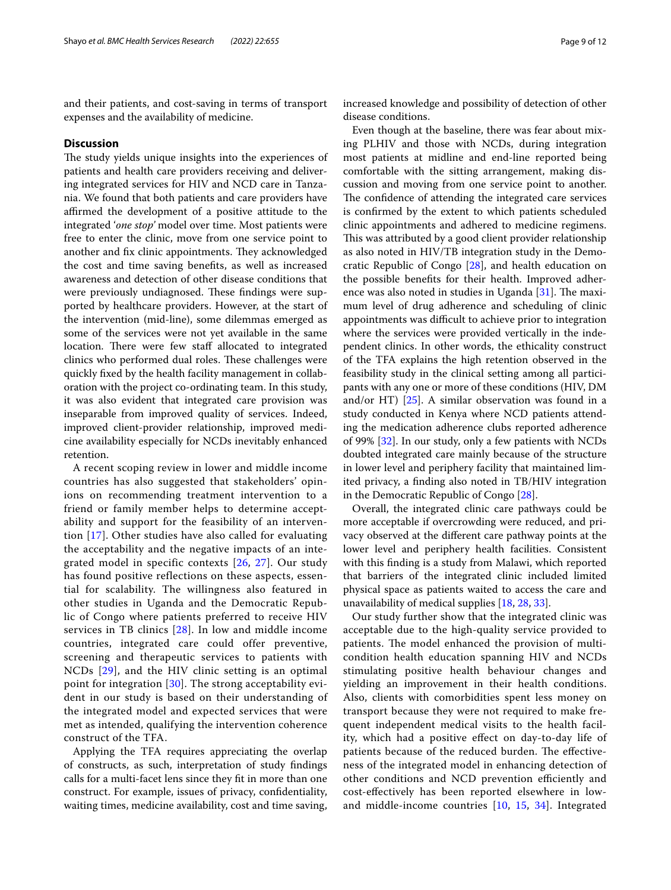and their patients, and cost-saving in terms of transport expenses and the availability of medicine.

#### **Discussion**

The study yields unique insights into the experiences of patients and health care providers receiving and delivering integrated services for HIV and NCD care in Tanzania. We found that both patients and care providers have afrmed the development of a positive attitude to the integrated '*one stop'* model over time. Most patients were free to enter the clinic, move from one service point to another and fix clinic appointments. They acknowledged the cost and time saving benefts, as well as increased awareness and detection of other disease conditions that were previously undiagnosed. These findings were supported by healthcare providers. However, at the start of the intervention (mid-line), some dilemmas emerged as some of the services were not yet available in the same location. There were few staff allocated to integrated clinics who performed dual roles. These challenges were quickly fxed by the health facility management in collaboration with the project co-ordinating team. In this study, it was also evident that integrated care provision was inseparable from improved quality of services. Indeed, improved client-provider relationship, improved medicine availability especially for NCDs inevitably enhanced retention.

A recent scoping review in lower and middle income countries has also suggested that stakeholders' opinions on recommending treatment intervention to a friend or family member helps to determine acceptability and support for the feasibility of an intervention [\[17\]](#page-10-16). Other studies have also called for evaluating the acceptability and the negative impacts of an integrated model in specific contexts [[26](#page-10-24), [27\]](#page-10-25). Our study has found positive reflections on these aspects, essential for scalability. The willingness also featured in other studies in Uganda and the Democratic Republic of Congo where patients preferred to receive HIV services in TB clinics [\[28\]](#page-10-26). In low and middle income countries, integrated care could offer preventive, screening and therapeutic services to patients with NCDs [[29\]](#page-10-27), and the HIV clinic setting is an optimal point for integration [[30](#page-10-28)]. The strong acceptability evident in our study is based on their understanding of the integrated model and expected services that were met as intended, qualifying the intervention coherence construct of the TFA.

Applying the TFA requires appreciating the overlap of constructs, as such, interpretation of study fndings calls for a multi-facet lens since they ft in more than one construct. For example, issues of privacy, confdentiality, waiting times, medicine availability, cost and time saving, increased knowledge and possibility of detection of other disease conditions.

Even though at the baseline, there was fear about mixing PLHIV and those with NCDs, during integration most patients at midline and end-line reported being comfortable with the sitting arrangement, making discussion and moving from one service point to another. The confidence of attending the integrated care services is confrmed by the extent to which patients scheduled clinic appointments and adhered to medicine regimens. This was attributed by a good client provider relationship as also noted in HIV/TB integration study in the Democratic Republic of Congo [[28\]](#page-10-26), and health education on the possible benefts for their health. Improved adherence was also noted in studies in Uganda  $[31]$  $[31]$ . The maximum level of drug adherence and scheduling of clinic appointments was difficult to achieve prior to integration where the services were provided vertically in the independent clinics. In other words, the ethicality construct of the TFA explains the high retention observed in the feasibility study in the clinical setting among all participants with any one or more of these conditions (HIV, DM and/or HT) [[25\]](#page-10-23). A similar observation was found in a study conducted in Kenya where NCD patients attending the medication adherence clubs reported adherence of 99% [\[32](#page-10-30)]. In our study, only a few patients with NCDs doubted integrated care mainly because of the structure in lower level and periphery facility that maintained limited privacy, a fnding also noted in TB/HIV integration in the Democratic Republic of Congo [\[28](#page-10-26)].

Overall, the integrated clinic care pathways could be more acceptable if overcrowding were reduced, and privacy observed at the diferent care pathway points at the lower level and periphery health facilities. Consistent with this fnding is a study from Malawi, which reported that barriers of the integrated clinic included limited physical space as patients waited to access the care and unavailability of medical supplies [\[18](#page-10-17), [28](#page-10-26), [33\]](#page-10-31).

Our study further show that the integrated clinic was acceptable due to the high-quality service provided to patients. The model enhanced the provision of multicondition health education spanning HIV and NCDs stimulating positive health behaviour changes and yielding an improvement in their health conditions. Also, clients with comorbidities spent less money on transport because they were not required to make frequent independent medical visits to the health facility, which had a positive efect on day-to-day life of patients because of the reduced burden. The effectiveness of the integrated model in enhancing detection of other conditions and NCD prevention efficiently and cost-efectively has been reported elsewhere in lowand middle-income countries [[10,](#page-10-8) [15,](#page-10-14) [34\]](#page-10-32). Integrated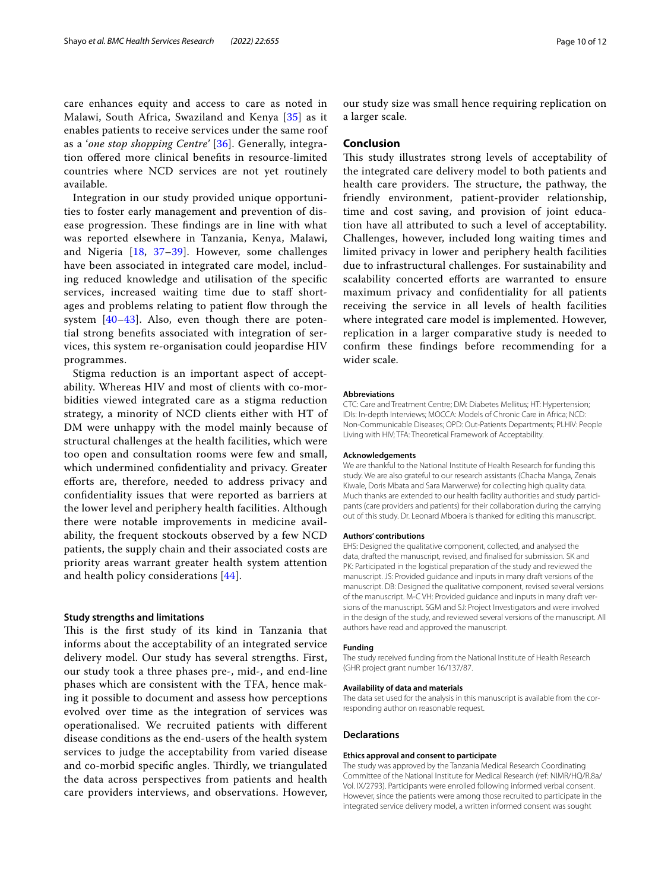care enhances equity and access to care as noted in Malawi, South Africa, Swaziland and Kenya [[35\]](#page-10-33) as it enables patients to receive services under the same roof as a '*one stop shopping Centre'* [\[36\]](#page-11-0). Generally, integration ofered more clinical benefts in resource-limited countries where NCD services are not yet routinely available.

Integration in our study provided unique opportunities to foster early management and prevention of disease progression. These findings are in line with what was reported elsewhere in Tanzania, Kenya, Malawi, and Nigeria [\[18](#page-10-17), [37](#page-11-1)[–39\]](#page-11-2). However, some challenges have been associated in integrated care model, including reduced knowledge and utilisation of the specifc services, increased waiting time due to staff shortages and problems relating to patient flow through the system  $[40-43]$  $[40-43]$  $[40-43]$ . Also, even though there are potential strong benefts associated with integration of services, this system re-organisation could jeopardise HIV programmes.

Stigma reduction is an important aspect of acceptability. Whereas HIV and most of clients with co-morbidities viewed integrated care as a stigma reduction strategy, a minority of NCD clients either with HT of DM were unhappy with the model mainly because of structural challenges at the health facilities, which were too open and consultation rooms were few and small, which undermined confdentiality and privacy. Greater eforts are, therefore, needed to address privacy and confdentiality issues that were reported as barriers at the lower level and periphery health facilities. Although there were notable improvements in medicine availability, the frequent stockouts observed by a few NCD patients, the supply chain and their associated costs are priority areas warrant greater health system attention and health policy considerations [[44](#page-11-5)].

## **Study strengths and limitations**

This is the first study of its kind in Tanzania that informs about the acceptability of an integrated service delivery model. Our study has several strengths. First, our study took a three phases pre-, mid-, and end-line phases which are consistent with the TFA, hence making it possible to document and assess how perceptions evolved over time as the integration of services was operationalised. We recruited patients with diferent disease conditions as the end-users of the health system services to judge the acceptability from varied disease and co-morbid specific angles. Thirdly, we triangulated the data across perspectives from patients and health care providers interviews, and observations. However,

our study size was small hence requiring replication on a larger scale.

#### **Conclusion**

This study illustrates strong levels of acceptability of the integrated care delivery model to both patients and health care providers. The structure, the pathway, the friendly environment, patient-provider relationship, time and cost saving, and provision of joint education have all attributed to such a level of acceptability. Challenges, however, included long waiting times and limited privacy in lower and periphery health facilities due to infrastructural challenges. For sustainability and scalability concerted efforts are warranted to ensure maximum privacy and confdentiality for all patients receiving the service in all levels of health facilities where integrated care model is implemented. However, replication in a larger comparative study is needed to confrm these fndings before recommending for a wider scale.

#### **Abbreviations**

CTC: Care and Treatment Centre; DM: Diabetes Mellitus; HT: Hypertension; IDIs: In-depth Interviews; MOCCA: Models of Chronic Care in Africa; NCD: Non-Communicable Diseases; OPD: Out-Patients Departments; PLHIV: People Living with HIV; TFA: Theoretical Framework of Acceptability.

#### **Acknowledgements**

We are thankful to the National Institute of Health Research for funding this study. We are also grateful to our research assistants (Chacha Manga, Zenais Kiwale, Doris Mbata and Sara Marwerwe) for collecting high quality data. Much thanks are extended to our health facility authorities and study participants (care providers and patients) for their collaboration during the carrying out of this study. Dr. Leonard Mboera is thanked for editing this manuscript.

#### **Authors' contributions**

EHS: Designed the qualitative component, collected, and analysed the data, drafted the manuscript, revised, and fnalised for submission. SK and PK: Participated in the logistical preparation of the study and reviewed the manuscript. JS: Provided guidance and inputs in many draft versions of the manuscript. DB: Designed the qualitative component, revised several versions of the manuscript. M-C VH: Provided guidance and inputs in many draft versions of the manuscript. SGM and SJ: Project Investigators and were involved in the design of the study, and reviewed several versions of the manuscript. All authors have read and approved the manuscript.

#### **Funding**

The study received funding from the National Institute of Health Research (GHR project grant number 16/137/87.

#### **Availability of data and materials**

The data set used for the analysis in this manuscript is available from the corresponding author on reasonable request.

#### **Declarations**

#### **Ethics approval and consent to participate**

The study was approved by the Tanzania Medical Research Coordinating Committee of the National Institute for Medical Research (ref: NIMR/HQ/R.8a/ Vol. IX/2793). Participants were enrolled following informed verbal consent. However, since the patients were among those recruited to participate in the integrated service delivery model, a written informed consent was sought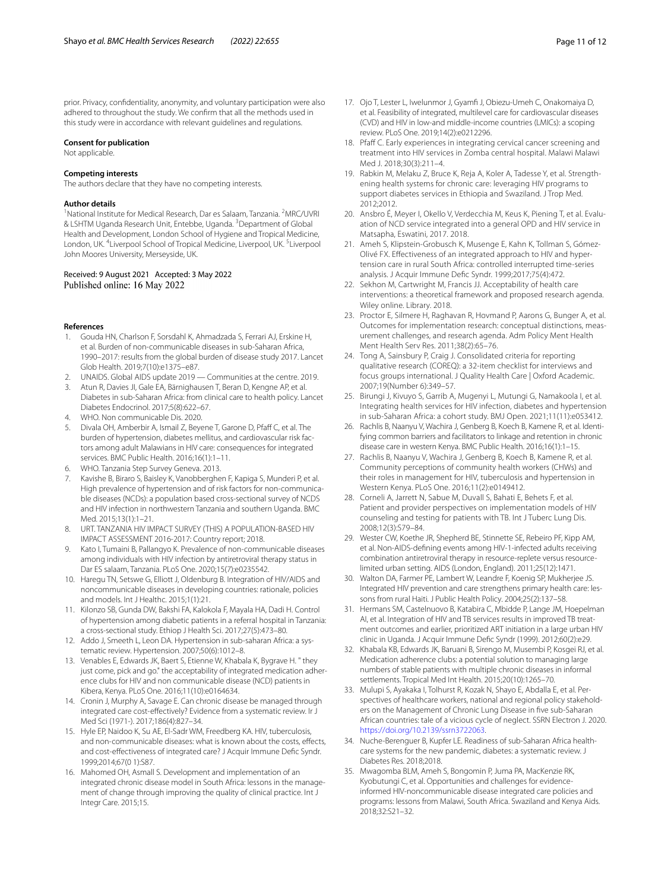prior. Privacy, confdentiality, anonymity, and voluntary participation were also adhered to throughout the study. We confrm that all the methods used in this study were in accordance with relevant guidelines and regulations.

#### **Consent for publication**

Not applicable.

#### **Competing interests**

The authors declare that they have no competing interests.

#### **Author details**

<sup>1</sup> National Institute for Medical Research, Dar es Salaam, Tanzania. <sup>2</sup>MRC/UVRI & LSHTM Uganda Research Unit, Entebbe, Uganda. <sup>3</sup> Department of Global Health and Development, London School of Hygiene and Tropical Medicine, London, UK. <sup>4</sup> Liverpool School of Tropical Medicine, Liverpool, UK. <sup>5</sup> Liverpool John Moores University, Merseyside, UK.

#### Received: 9 August 2021 Accepted: 3 May 2022 Published online: 16 May 2022

#### **References**

- <span id="page-10-0"></span>1. Gouda HN, Charlson F, Sorsdahl K, Ahmadzada S, Ferrari AJ, Erskine H, et al. Burden of non-communicable diseases in sub-Saharan Africa, 1990–2017: results from the global burden of disease study 2017. Lancet Glob Health. 2019;7(10):e1375–e87.
- <span id="page-10-1"></span>2. UNAIDS. Global AIDS update 2019 — Communities at the centre. 2019.
- <span id="page-10-10"></span>3. Atun R, Davies JI, Gale EA, Bärnighausen T, Beran D, Kengne AP, et al. Diabetes in sub-Saharan Africa: from clinical care to health policy. Lancet Diabetes Endocrinol. 2017;5(8):622–67.
- <span id="page-10-2"></span>4. WHO. Non communicable Dis. 2020.
- <span id="page-10-3"></span>5. Divala OH, Amberbir A, Ismail Z, Beyene T, Garone D, Pfaf C, et al. The burden of hypertension, diabetes mellitus, and cardiovascular risk factors among adult Malawians in HIV care: consequences for integrated services. BMC Public Health. 2016;16(1):1–11.
- <span id="page-10-4"></span>6. WHO. Tanzania Step Survey Geneva. 2013.
- <span id="page-10-5"></span>7. Kavishe B, Biraro S, Baisley K, Vanobberghen F, Kapiga S, Munderi P, et al. High prevalence of hypertension and of risk factors for non-communicable diseases (NCDs): a population based cross-sectional survey of NCDS and HIV infection in northwestern Tanzania and southern Uganda. BMC Med. 2015;13(1):1–21.
- <span id="page-10-6"></span>8. URT. TANZANIA HIV IMPACT SURVEY (THIS) A POPULATION-BASED HIV IMPACT ASSESSMENT 2016-2017: Country report; 2018.
- <span id="page-10-7"></span>9. Kato I, Tumaini B, Pallangyo K. Prevalence of non-communicable diseases among individuals with HIV infection by antiretroviral therapy status in Dar ES salaam, Tanzania. PLoS One. 2020;15(7):e0235542.
- <span id="page-10-8"></span>10. Haregu TN, Setswe G, Elliott J, Oldenburg B. Integration of HIV/AIDS and noncommunicable diseases in developing countries: rationale, policies and models. Int J Healthc. 2015;1(1):21.
- <span id="page-10-9"></span>11. Kilonzo SB, Gunda DW, Bakshi FA, Kalokola F, Mayala HA, Dadi H. Control of hypertension among diabetic patients in a referral hospital in Tanzania: a cross-sectional study. Ethiop J Health Sci. 2017;27(5):473–80.
- <span id="page-10-11"></span>12. Addo J, Smeeth L, Leon DA. Hypertension in sub-saharan Africa: a systematic review. Hypertension. 2007;50(6):1012–8.
- <span id="page-10-12"></span>13. Venables E, Edwards JK, Baert S, Etienne W, Khabala K, Bygrave H. " they just come, pick and go." the acceptability of integrated medication adherence clubs for HIV and non communicable disease (NCD) patients in Kibera, Kenya. PLoS One. 2016;11(10):e0164634.
- <span id="page-10-13"></span>14. Cronin J, Murphy A, Savage E. Can chronic disease be managed through integrated care cost-efectively? Evidence from a systematic review. Ir J Med Sci (1971-). 2017;186(4):827–34.
- <span id="page-10-14"></span>15. Hyle EP, Naidoo K, Su AE, El-Sadr WM, Freedberg KA. HIV, tuberculosis, and non-communicable diseases: what is known about the costs, effects, and cost-effectiveness of integrated care? J Acquir Immune Defic Syndr. 1999;2014;67(0 1):S87.
- <span id="page-10-15"></span>16. Mahomed OH, Asmall S. Development and implementation of an integrated chronic disease model in South Africa: lessons in the management of change through improving the quality of clinical practice. Int J Integr Care. 2015;15.
- <span id="page-10-16"></span>17. Ojo T, Lester L, Iwelunmor J, Gyamf J, Obiezu-Umeh C, Onakomaiya D, et al. Feasibility of integrated, multilevel care for cardiovascular diseases (CVD) and HIV in low-and middle-income countries (LMICs): a scoping review. PLoS One. 2019;14(2):e0212296.
- <span id="page-10-17"></span>18. Pfaf C. Early experiences in integrating cervical cancer screening and treatment into HIV services in Zomba central hospital. Malawi Malawi Med J. 2018;30(3):211–4.
- <span id="page-10-18"></span>19. Rabkin M, Melaku Z, Bruce K, Reja A, Koler A, Tadesse Y, et al. Strengthening health systems for chronic care: leveraging HIV programs to support diabetes services in Ethiopia and Swaziland. J Trop Med. 2012;2012.
- 20. Ansbro É, Meyer I, Okello V, Verdecchia M, Keus K, Piening T, et al. Evaluation of NCD service integrated into a general OPD and HIV service in Matsapha, Eswatini, 2017. 2018.
- <span id="page-10-19"></span>21. Ameh S, Klipstein-Grobusch K, Musenge E, Kahn K, Tollman S, Gómez-Olivé FX. Effectiveness of an integrated approach to HIV and hypertension care in rural South Africa: controlled interrupted time-series analysis. J Acquir Immune Defc Syndr. 1999;2017;75(4):472.
- <span id="page-10-20"></span>22. Sekhon M, Cartwright M, Francis JJ. Acceptability of health care interventions: a theoretical framework and proposed research agenda. Wiley online. Library. 2018.
- <span id="page-10-21"></span>23. Proctor E, Silmere H, Raghavan R, Hovmand P, Aarons G, Bunger A, et al. Outcomes for implementation research: conceptual distinctions, measurement challenges, and research agenda. Adm Policy Ment Health Ment Health Serv Res. 2011;38(2):65–76.
- <span id="page-10-22"></span>24. Tong A, Sainsbury P, Craig J. Consolidated criteria for reporting qualitative research (COREQ): a 32-item checklist for interviews and focus groups international. J Quality Health Care | Oxford Academic. 2007;19(Number 6):349–57.
- <span id="page-10-23"></span>25. Birungi J, Kivuyo S, Garrib A, Mugenyi L, Mutungi G, Namakoola I, et al. Integrating health services for HIV infection, diabetes and hypertension in sub-Saharan Africa: a cohort study. BMJ Open. 2021;11(11):e053412.
- <span id="page-10-24"></span>26. Rachlis B, Naanyu V, Wachira J, Genberg B, Koech B, Kamene R, et al. Identifying common barriers and facilitators to linkage and retention in chronic disease care in western Kenya. BMC Public Health. 2016;16(1):1–15.
- <span id="page-10-25"></span>27. Rachlis B, Naanyu V, Wachira J, Genberg B, Koech B, Kamene R, et al. Community perceptions of community health workers (CHWs) and their roles in management for HIV, tuberculosis and hypertension in Western Kenya. PLoS One. 2016;11(2):e0149412.
- <span id="page-10-26"></span>28. Corneli A, Jarrett N, Sabue M, Duvall S, Bahati E, Behets F, et al. Patient and provider perspectives on implementation models of HIV counseling and testing for patients with TB. Int J Tuberc Lung Dis. 2008;12(3):S79–84.
- <span id="page-10-27"></span>29. Wester CW, Koethe JR, Shepherd BE, Stinnette SE, Rebeiro PF, Kipp AM, et al. Non-AIDS-defning events among HIV-1-infected adults receiving combination antiretroviral therapy in resource-replete versus resourcelimited urban setting. AIDS (London, England). 2011;25(12):1471.
- <span id="page-10-28"></span>30. Walton DA, Farmer PE, Lambert W, Leandre F, Koenig SP, Mukherjee JS. Integrated HIV prevention and care strengthens primary health care: lessons from rural Haiti. J Public Health Policy. 2004;25(2):137–58.
- <span id="page-10-29"></span>31. Hermans SM, Castelnuovo B, Katabira C, Mbidde P, Lange JM, Hoepelman AI, et al. Integration of HIV and TB services results in improved TB treatment outcomes and earlier, prioritized ART initiation in a large urban HIV clinic in Uganda. J Acquir Immune Defc Syndr (1999). 2012;60(2):e29.
- <span id="page-10-30"></span>32. Khabala KB, Edwards JK, Baruani B, Sirengo M, Musembi P, Kosgei RJ, et al. Medication adherence clubs: a potential solution to managing large numbers of stable patients with multiple chronic diseases in informal settlements. Tropical Med Int Health. 2015;20(10):1265–70.
- <span id="page-10-31"></span>33. Mulupi S, Ayakaka I, Tolhurst R, Kozak N, Shayo E, Abdalla E, et al. Perspectives of healthcare workers, national and regional policy stakeholders on the Management of Chronic Lung Disease in fve sub-Saharan African countries: tale of a vicious cycle of neglect. SSRN Electron J. 2020. <https://doi.org/10.2139/ssrn3722063>.
- <span id="page-10-32"></span>34. Nuche-Berenguer B, Kupfer LE. Readiness of sub-Saharan Africa healthcare systems for the new pandemic, diabetes: a systematic review. J Diabetes Res. 2018;2018.
- <span id="page-10-33"></span>35. Mwagomba BLM, Ameh S, Bongomin P, Juma PA, MacKenzie RK, Kyobutungi C, et al. Opportunities and challenges for evidenceinformed HIV-noncommunicable disease integrated care policies and programs: lessons from Malawi, South Africa. Swaziland and Kenya Aids. 2018;32:S21–32.